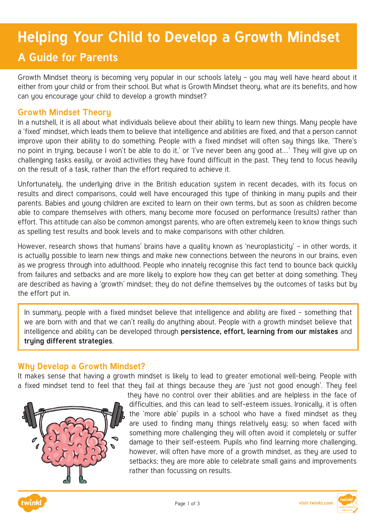# **Helping Your Child to Develop a Growth Mindset**

## **A Guide for Parents**

Growth Mindset theory is becoming very popular in our schools lately - you may well have heard about it either from your child or from their school. But what is Growth Mindset theory, what are its benefits, and how can you encourage your child to develop a growth mindset?

#### **Growth Mindset Theory**

In a nutshell, it is all about what individuals believe about their ability to learn new things. Many people have a 'fixed' mindset, which leads them to believe that intelligence and abilities are fixed, and that a person cannot improve upon their ability to do something. People with a fixed mindset will often say things like, 'There's no point in truing, because I won't be able to do it,' or 'I've never been any good at...' They will give up on challenging tasks easily, or avoid activities they have found difficult in the past. They tend to focus heavily on the result of a task, rather than the effort required to achieve it.

Unfortunately, the underlying drive in the British education system in recent decades, with its focus on results and direct comparisons, could well have encouraged this type of thinking in many pupils and their parents. Babies and young children are excited to learn on their own terms, but as soon as children become able to compare themselves with others, many become more focused on performance (results) rather than effort. This attitude can also be common amongst parents, who are often extremely keen to know things such as spelling test results and book levels and to make comparisons with other children.

However, research shows that humans' brains have a quality known as 'neuroplasticity' – in other words, it is actually possible to learn new things and make new connections between the neurons in our brains, even as we progress through into adulthood. People who innately recognise this fact tend to bounce back quickly from failures and setbacks and are more likely to explore how they can get better at doing something. They are described as having a 'growth' mindset; they do not define themselves by the outcomes of tasks but by the effort put in.

In summary, people with a fixed mindset believe that intelligence and ability are fixed – something that we are born with and that we can't really do anything about. People with a growth mindset believe that intelligence and ability can be developed through **persistence, effort, learning from our mistakes** and **trying different strategies**.

#### **Why Develop a Growth Mindset?**

It makes sense that having a growth mindset is likely to lead to greater emotional well-being. People with a fixed mindset tend to feel that theu fail at things because they are 'just not good enough'. They feel



they have no control over their abilities and are helpless in the face of difficulties, and this can lead to self-esteem issues. Ironicallu, it is often the 'more able' pupils in a school who have a fixed mindset as they are used to finding many things relatively easy; so when faced with something more challenging they will often avoid it completely or suffer damage to their self-esteem. Pupils who find learning more challenging, however, will often have more of a growth mindset, as they are used to setbacks; they are more able to celebrate small gains and improvements rather than focussing on results.



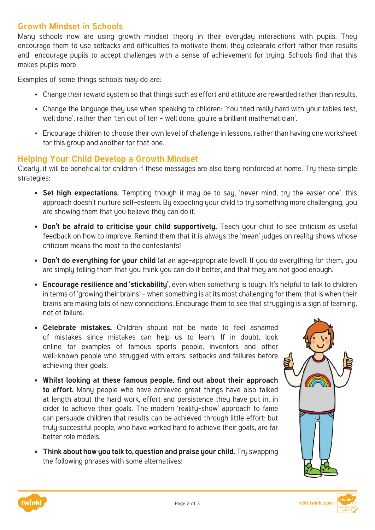### **Growth Mindset in Schools**

Many schools now are using growth mindset theory in their everyday interactions with pupils. They encourage them to use setbacks and difficulties to motivate them; theu celebrate effort rather than results and encourage pupils to accept challenges with a sense of achievement for trying. Schools find that this makes pupils more

Examples of some things schools may do are:

- Change their reward system so that things such as effort and attitude are rewarded rather than results.
- Change the language they use when speaking to children: 'You tried really hard with your tables test, well done', rather than 'ten out of ten – well done, you're a brilliant mathematician'.
- Encourage children to choose their own level of challenge in lessons, rather than having one worksheet for this group and another for that one.

#### **Helping Your Child Develop a Growth Mindset**

Clearly, it will be beneficial for children if these messages are also being reinforced at home. Try these simple strategies:

- **• Set high expectations.** Tempting though it may be to say, 'never mind, try the easier one', this approach doesn't nurture self-esteem. By expecting your child to try something more challenging, you are showing them that you believe they can do it.
- **• Don't be afraid to criticise your child supportively.** Teach your child to see criticism as useful feedback on how to improve. Remind them that it is always the 'mean' judges on reality shows whose criticism means the most to the contestants!
- **Don't do everything for your child** (at an age-appropriate level). If you do everything for them, you are simply telling them that you think you can do it better, and that they are not good enough.
- **• Encourage resilience and 'stickability'**, even when something is tough. It's helpful to talk to children in terms of 'growing their brains' – when something is at its most challenging for them, that is when their brains are making lots of new connections. Encourage them to see that struggling is a sign of learning, not of failure.
- **• Celebrate mistakes.** Children should not be made to feel ashamed of mistakes since mistakes can help us to learn. If in doubt, look online for examples of famous sports people, inventors and other well-known people who struggled with errors, setbacks and failures before achieving their goals.
- **• Whilst looking at these famous people, find out about their approach to effort.** Many people who have achieved great things have also talked at length about the hard work, effort and persistence they have put in, in order to achieve their goals. The modern 'reality-show' approach to fame can persuade children that results can be achieved through little effort; but truly successful people, who have worked hard to achieve their goals, are far better role models.
- **• Think about how you talk to, question and praise your child.** Try swapping the following phrases with some alternatives: